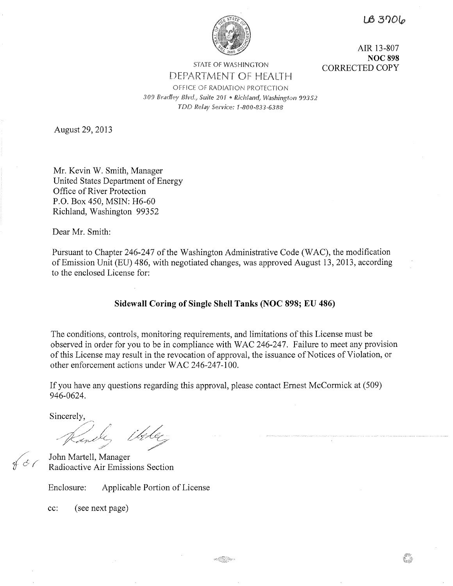$LB3706$ 

83



STATE OF WASHINGTON

AIR 13-807 **NOC 898**  CORRECTED COPY

DEPARTMENT OF HEALTH OFFICE OF RADIATION PROTECTION *309 Bradley Blvd,, Suite 201* ° *Richland, Washington 99352 TDD Relay Service: 1-800-833-6388* 

August 29, 2013

Mr. Kevin W. Smith, Manager United States Department of Energy Office of River Protection P.O. Box 450, MSIN: H6-60 Richland, Washington 99352

Dear Mr. Smith:

Pursuant to Chapter 246-247 of the Washington Administrative Code (WAC), the modification of Emission Unit (EU) 486, with negotiated changes, was approved August 13, 2013, according to the enclosed License for:

# **Sidewall Coring of Single Shell Tanks (NOC 898; EU 486)**

The conditions, controls, monitoring requirements, and limitations of this License must be observed in order for you to be in compliance with WAC 246-247. Failure to meet any provision of this License may result in the revocation of approval, the issuance of Notices of Violation, or other enforcement actions under WAC 246-247-100.

If you have any questions regarding this approval, please contact Ernest McCormick at (509) 946-0624.

Sincerely,

*///*   $\oint$  & (

John Martell, Manager Radioactive Air Emissions Section

Enclosure: Applicable Portion of License

cc: (see next page)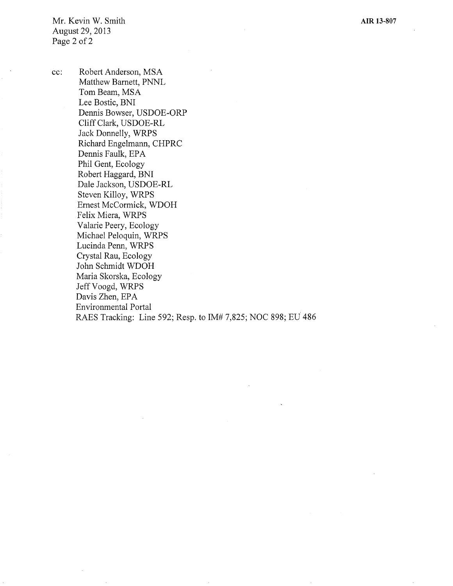**AIR 13-807** 

Mr. Kevin W. Smith August 29, 2013 Page 2 of 2

cc: Robert Anderson, MSA Matthew Barnett, PNNL Tom Beam, MSA Lee Bostic, BNI Dennis Bowser, USDOE-ORP Cliff Clark, USDOE-RL Jack Donnelly, WRPS Richard Engelmann, CHPRC Dennis Faulk, EPA Phil Gent, Ecology Robert Haggard, BNI Dale Jackson, USDOE-RL Steven Killoy, WRPS Ernest McCormick, WDOH Felix Miera, WRPS Valarie Peery, Ecology Michael Peloquin, WRPS Lucinda Penn, WRPS Crystal Rau, Ecology John Schmidt WDOH Maria Skorska, Ecology Jeff Voogd, WRPS Davis Zhen, EPA Environmental Portal RAES Tracking: Line 592; Resp. to IM# 7,825; NOC 898; EU 486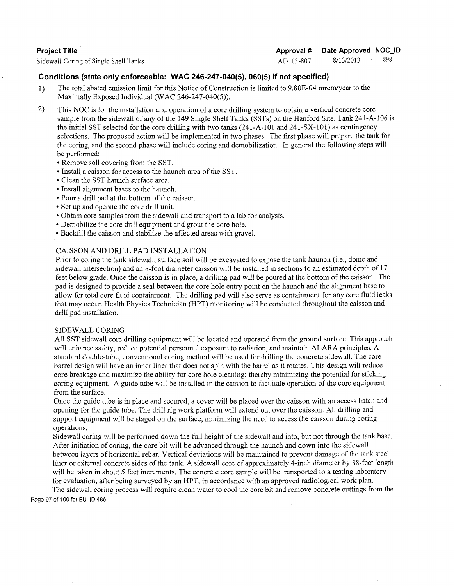## **Project Title**

Sidewall Coring of Single Shell Tanks

**Approval# Date Approved NOC\_ID** 

AIR 13-807 8/13/2013 898

## **Conditions (state only enforceable: WAC 246-247-040(5), 060(5) if not specified)**

- I) The total abated emission limit for this Notice of Construction is limited to 9.80E-04 mrem/year to the Maximally Exposed Individual (WAC 246-247-040(5)).
- 2) This NOC is for the installation and operation of a core drilling system to obtain a vertical concrete core sample from the sidewall of any of the 149 Single Shell Tanks (SSTs) on the Hanford Site. Tank 241-A-106 is the initial SST selected for the core drilling with two tanks (241-A-101 and 241-SX-101) as contingency selections. The proposed action will be implemented in two phases. The first phase will prepare the tank for the coring, and the second phase will include coring and demobilization. In general the following steps will be performed:
	- Remove soil covering from the SST.
	- Install a caisson for access to the haunch area of the SST.
	- Clean the SST haunch surface area.
	- Install alignment bases to the haunch.
	- Pour a drill pad at the bottom of the caisson.
	- Set up and operate the core drill unit.
	- Obtain core samples from the sidewall and transport to a lab for analysis.
	- Demobilize the core drill equipment and grout the core hole.
	- Backfill the caisson and stabilize the affected areas with gravel.

### CAISSON AND DRILL PAD INSTALLATION

Prior to coring the tank sidewall, surface soil will be excavated to expose the tank haunch (i.e., dome and sidewall intersection) and an 8-foot diameter caisson will be installed in sections to an estimated depth of 17 feet below grade. Once the caisson is in place, a drilling pad will be poured at the bottom of the caisson. The pad is designed to provide a seal between the core hole entry point on the haunch and the alignment base to allow for total core fluid containment. The drilling pad will also serve as containment for any core fluid leaks that may occur. Health Physics Technician (HPT) monitoring will be conducted throughout the caisson and drill pad installation.

#### SIDEWALL CORING

All SST sidewall core drilling equipment will be located and operated from the ground surface. This approach will enhance safety, reduce potential personnel exposure to radiation, and maintain ALARA principles. A standard double-tube, conventional coring method will be used for drilling the concrete sidewall. The core barrel design will have an inner liner that does not spin with the barrel as it rotates. This design will reduce core breakage and maximize the ability for core hole cleaning; thereby minimizing the potential for sticking coring equipment. A guide tube will be installed in the caisson to facilitate operation of the core equipment from the surface.

Once the guide tube is in place and secured, a cover will be placed over the caisson with an access hatch and opening for the guide tube. The drill rig work platform will extend out over the caisson. All drilling and support equipment will be staged on the surface, minimizing the need to access the caisson during coring operations.

Sidewall coring will be performed down the full height of the sidewall and into, but not through the tank base. After initiation of coring, the core bit will be advanced through the haunch and down into the sidewall between layers of horizontal rebar. Vertical deviations will be maintained to prevent damage of the tank steel liner or external concrete sides of the tank. A sidewall core of approximately 4-inch diameter by 38-feet length will be taken in about 5 feet increments. The concrete core sample will be transported to a testing laboratory for evaluation, after being surveyed by an HPT, in accordance with an approved radiological work plan.

The sidewall coring process will require clean water to cool the core bit and remove concrete cuttings from the Page 97 of 100 for EU\_ID 486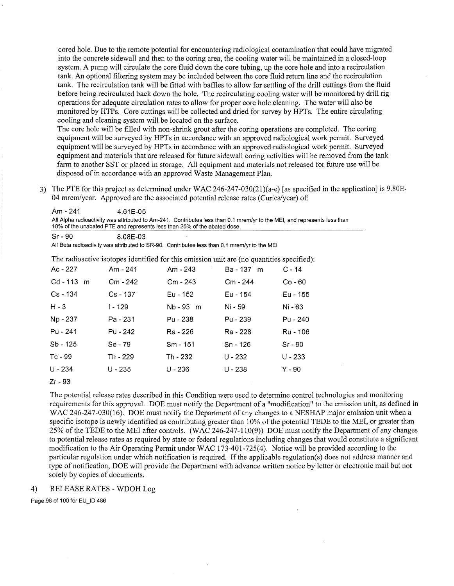cored hole. Due to the remote potential for encountering radiological contamination that could have migrated into the concrete sidewall and then to the coring area, the cooling water will be maintained in a closed-loop system. A pump will circulate the core fluid down the core tubing, up the core hole and into a recirculation tank. An optional filtering system may be included between the core fluid return line and the recirculation tank. The recirculation tank will be fitted with baffles to allow for settling of the drill cuttings from the fluid before being recirculated back down the hole. The recirculating cooling water will be monitored by drill rig operations for adequate circulation rates to allow for proper core hole cleaning. The water will also be monitored by HTPs. Core cuttings will be collected and dried for survey by HPTs. The entire circulating cooling and cleaning system will be located on the surface.

The core hole will be filled with non-shrink grout after the coring operations are completed. The coring equipment will be surveyed by HPTs in accordance with an approved radiological work permit. Surveyed equipment will be surveyed by HPTs in accordance with an approved radiological work permit. Surveyed equipment and materials that are released for future sidewall coring activities will be removed from the tank farm to another SST or placed in storage. All equipment and materials not released for future use will be disposed of in accordance with an approved Waste Management Plan.

3) The PTE for this project as determined under WAC 246-247-030(21)(a-e) [as specified in the application] is 9.S0E-04 mrem/year. Approved are the associated potential release rates (Curies/year) of:

| Am - 241<br>4.61F-05                                                                                                     |  |
|--------------------------------------------------------------------------------------------------------------------------|--|
| All Alpha radioactivity was attributed to Am-241. Contributes less than 0.1 mrem/yr to the MEI, and represents less than |  |
| 10% of the unabated PTE and represents less than 25% of the abated dose.                                                 |  |

All Beta radioactivity was attributed to SR-90. Contributes less than 0.1 mrem/yr to the MEI

The radioactive isotopes identified for this emission unit are (no quantities specified):

| Ac - 227     | Am - 241   | Am - 243   | Ba - 137 m | $C - 14$  |
|--------------|------------|------------|------------|-----------|
| $Cd - 113$ m | Cm - 242   | $Cm - 243$ | Cm - 244   | $Co - 60$ |
| Cs - 134     | $Cs - 137$ | Eu - 152   | Eu - 154   | Eu - 155  |
| $H - 3$      | I - 129    | Nb - 93 m  | Ni - 59    | Ni - 63   |
| Np - 237     | Pa - 231   | Pu - 238   | Pu - 239   | Pu - 240  |
| Pu - 241     | Pu - 242   | Ra - 226   | Ra - 228   | Ru - 106  |
| Sb - 125     | Se - 79    | Sm - 151   | Sn - 126   | $Sr - 90$ |
| Tc - 99      | Th - 229   | Th - 232   | $U - 232$  | $U - 233$ |
| $U - 234$    | U - 235    | $U - 236$  | U - 238    | $Y - 90$  |

Zr - 93

The potential release rates described in this Condition were used to determine control technologies and monitoring requirements for this approval. DOE must notify the Department of a "modification" to the emission unit, as defined in WAC 246-247-030(16). DOE must notify the Department of any changes to a NESHAP major emission unit when a specific isotope is newly identified as contributing greater than 10% of the potential TEDE to the MEI, or greater than 25% of the TEDE to the MEI after controls. (WAC 246-247-110(9)) DOE must notify the Department of any changes to potential release rates as required by state or federal regulations including changes that would constitute a significant modification to the Air Operating Permit under WAC 173-401-725(4). Notice will be provided according to the particular regulation under which notification is required. If the applicable regulation(s) does not address manner and type of notification, DOE will provide the Department with advance written notice by letter or electronic mail but not solely by copies of documents.

#### 4) RELEASE RATES - WDOH Log

Sr - 90 8.08E-03

Page 98 of 100 for EU\_ID 486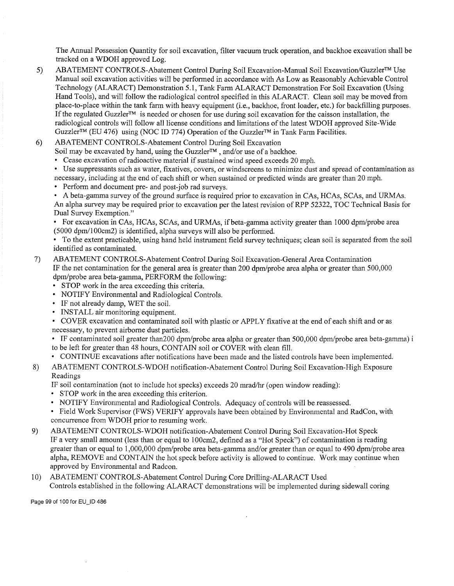The Annual Possession Quantity for soil excavation, filter vacuum truck operation, and backhoe excavation shall be tracked on a WDOH approved Log.

5) ABATEMENT CONTROLS-Abatement Control During Soil Excavation-Manual Soil Excavation/Guzzler™ Use Manual soil excavation activities will be performed in accordance with As Low as Reasonably Achievable Control Technology (ALARACT) Demonstration 5.1, Tank Farm ALARACT Demonstration For Soil Excavation (Using Hand Tools), and will follow the radiological control specified in this ALARACT. Clean soil may be moved from place-to-place within the tank farm with heavy equipment (i.e., backhoe, front loader, etc.) for backfilling purposes. If the regulated Guzzler™ is needed or chosen for use during soil excavation for the caisson installation, the radiological controls will follow all license conditions and limitations of the latest WDOH approved Site-Wide Guzzler<sup>™</sup> (EU 476) using (NOC ID 774) Operation of the Guzzler<sup>™</sup> in Tank Farm Facilities.

## 6) ABATEMENT CONTROLS-Abatement Control During Soil Excavation

Soil may be excavated by hand, using the Guzzler<sup>™</sup>, and/or use of a backhoe.

- Cease excavation of radioactive material if sustained wind speed exceeds 20 mph.
- Use suppressants such as water, fixatives, covers, or windscreens to minimize dust and spread of contamination as necessary, including at the end of each shift or when sustained or predicted winds are greater than 20 mph.
- Perform and document pre- and post-job rad surveys.
- A beta-gamma survey of the ground surface is required prior to excavation in CAs, HCAs, SCAs, and URMAs.

An alpha survey may be required prior to excavation per the latest revision of RPP 52322, TOC Technical Basis for Dual Survey Exemption."

• For excavation in CAs, HCAs, SCAs, and URMAs, if beta-gamma activity greater than 1000 dpm/probe area (5000 dpm/100cm2) is identified, alpha surveys will also be performed.

• To the extent practicable, using hand held instrument field survey techniques; clean soil is separated from the soil identified as contaminated.

## 7) ABATEMENT CONTROLS-Abatement Control During Soil Excavation-General Area Contamination IF the net contamination for the general area is greater than 200 dpm/probe area alpha or greater than 500,000 dpm/probe area beta-gamma, PERFORM the following:

- STOP work in the area exceeding this criteria.
- NOTIFY Environmental and Radiological Controls.
- IF not already damp, WET the soil.
- INSTALL air monitoring equipment.

• COVER excavation and contaminated soil with plastic or APPLY fixative at the end of each shift and or as necessary, to prevent airborne dust particles.

• IF contaminated soil greater than200 dpm/probe area alpha or greater than 500,000 dpm/probe area beta-gamma) i to be left for greater than 48 hours, CONTAIN soil or COVER with clean fill.

• CONTINUE excavations after notifications have been made and the listed controls have been implemented.

# 8) ABATEMENT CONTROLS-WDOH notification-Abatement Control During Soil Excavation-High Exposure Readings

IF soil contamination (not to include hot specks) exceeds 20 mrad/hr (open window reading):

- STOP work in the area exceeding this criterion.
- NOTIFY Environmental and Radiological Controls. Adequacy of controls will be reassessed.
- Field Work Supervisor (FWS) VERIFY approvals have been obtained by Environmental and RadCon, with concurrence from WDOH prior to resuming work.
- 9) ABATEMENT CONTROLS-WDOH notification-Abatement Control During Soil Excavation-Hot Speck IF a very small amount (less than or equal to I 00crn2, defined as a "Hot Speck") of contamination is reading greater than or equal to 1,000,000 dpm/probe area beta-gamma and/or greater than or equal to 490 dpm/probe area alpha, REMOVE and CONTAIN the hot speck before activity is allowed to continue. Work may continue when approved by Environmental and Radcon.
- 10) ABATEMENT CONTROLS-Abatement Control During Core Drilling-ALARACT Used Controls established in the following ALARACT demonstrations will be implemented during sidewall coring

Page 99 of 100 for EU\_ID 486